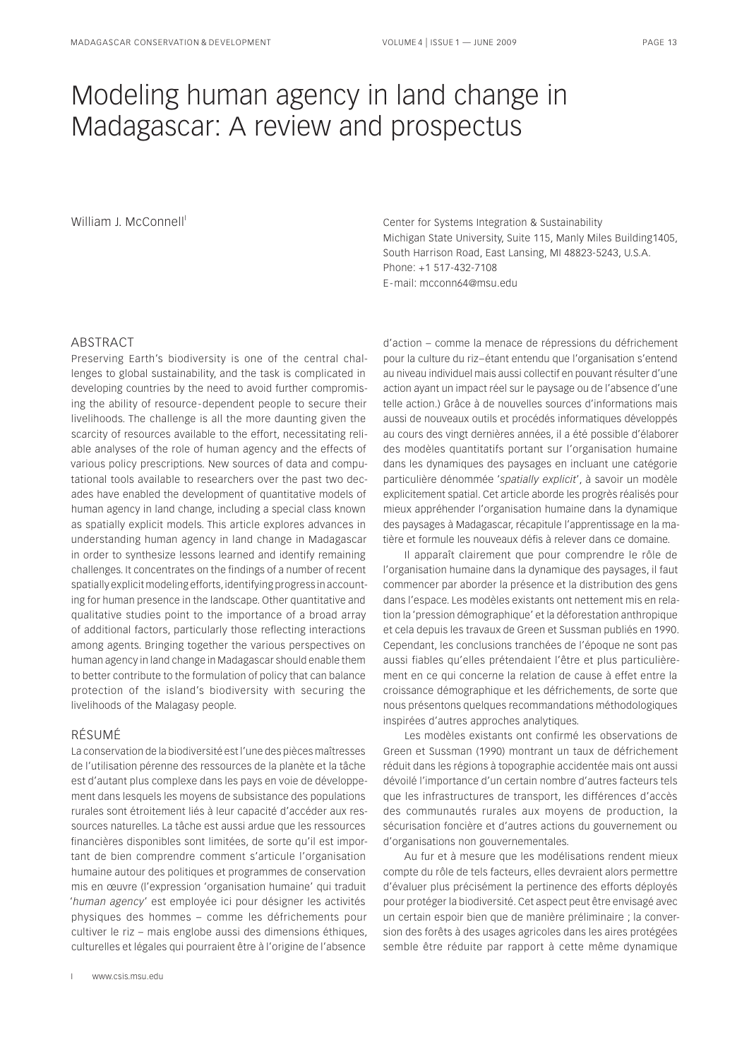# Modeling human agency in land change in Madagascar: A review and prospectus

William J. McConnell<sup>1</sup> Center for Systems Integration & Sustainability Michigan State University, Suite 115, Manly Miles Building1405, South Harrison Road, East Lansing, MI 48823-5243, U.S.A. Phone: +1 517-432-7108 E - mail: mcconn64@msu.edu

# ABSTRACT

Preserving Earth's biodiversity is one of the central challenges to global sustainability, and the task is complicated in developing countries by the need to avoid further compromising the ability of resource - dependent people to secure their livelihoods. The challenge is all the more daunting given the scarcity of resources available to the effort, necessitating reliable analyses of the role of human agency and the effects of various policy prescriptions. New sources of data and computational tools available to researchers over the past two decades have enabled the development of quantitative models of human agency in land change, including a special class known as spatially explicit models. This article explores advances in understanding human agency in land change in Madagascar in order to synthesize lessons learned and identify remaining challenges. It concentrates on the findings of a number of recent spatially explicit modeling efforts, identifying progress in accounting for human presence in the landscape. Other quantitative and qualitative studies point to the importance of a broad array of additional factors, particularly those reflecting interactions among agents. Bringing together the various perspectives on human agency in land change in Madagascar should enable them to better contribute to the formulation of policy that can balance protection of the island's biodiversity with securing the livelihoods of the Malagasy people.

# RÉSUMÉ

La conservation de la biodiversité est l'une des pièces maîtresses de l'utilisation pérenne des ressources de la planète et la tâche est d'autant plus complexe dans les pays en voie de développement dans lesquels les moyens de subsistance des populations rurales sont étroitement liés à leur capacité d'accéder aux ressources naturelles. La tâche est aussi ardue que les ressources financières disponibles sont limitées, de sorte qu'il est important de bien comprendre comment s'articule l'organisation humaine autour des politiques et programmes de conservation mis en œuvre (l'expression 'organisation humaine' qui traduit '*human agency*' est employée ici pour désigner les activités physiques des hommes – comme les défrichements pour cultiver le riz – mais englobe aussi des dimensions éthiques, culturelles et légales qui pourraient être à l'origine de l'absence

d'action – comme la menace de répressions du défrichement pour la culture du riz – étant entendu que l'organisation s'entend au niveau individuel mais aussi collectif en pouvant résulter d'une action ayant un impact réel sur le paysage ou de l'absence d'une telle action.) Grâce à de nouvelles sources d'informations mais aussi de nouveaux outils et procédés informatiques développés au cours des vingt dernières années, il a été possible d'élaborer des modèles quantitatifs portant sur l'organisation humaine dans les dynamiques des paysages en incluant une catégorie particulière dénommée '*spatially explicit*', à savoir un modèle explicitement spatial. Cet article aborde les progrès réalisés pour mieux appréhender l'organisation humaine dans la dynamique des paysages à Madagascar, récapitule l'apprentissage en la matière et formule les nouveaux défis à relever dans ce domaine.

Il apparaît clairement que pour comprendre le rôle de l'organisation humaine dans la dynamique des paysages, il faut commencer par aborder la présence et la distribution des gens dans l'espace. Les modèles existants ont nettement mis en relation la 'pression démographique' et la déforestation anthropique et cela depuis les travaux de Green et Sussman publiés en 1990. Cependant, les conclusions tranchées de l'époque ne sont pas aussi fiables qu'elles prétendaient l'être et plus particulièrement en ce qui concerne la relation de cause à effet entre la croissance démographique et les défrichements, de sorte que nous présentons quelques recommandations méthodologiques inspirées d'autres approches analytiques.

Les modèles existants ont confirmé les observations de Green et Sussman (1990) montrant un taux de défrichement réduit dans les régions à topographie accidentée mais ont aussi dévoilé l'importance d'un certain nombre d'autres facteurs tels que les infrastructures de transport, les différences d'accès des communautés rurales aux moyens de production, la sécurisation foncière et d'autres actions du gouvernement ou d'organisations non gouvernementales.

Au fur et à mesure que les modélisations rendent mieux compte du rôle de tels facteurs, elles devraient alors permettre d'évaluer plus précisément la pertinence des efforts déployés pour protéger la biodiversité. Cet aspect peut être envisagé avec un certain espoir bien que de manière préliminaire ; la conversion des forêts à des usages agricoles dans les aires protégées semble être réduite par rapport à cette même dynamique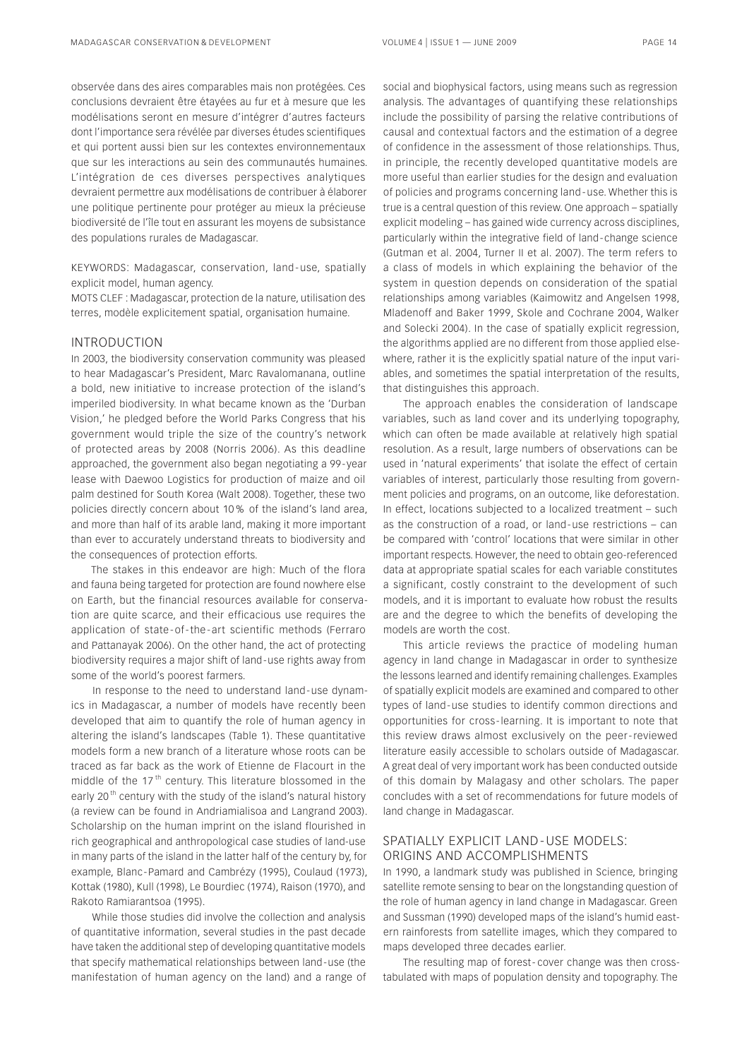observée dans des aires comparables mais non protégées. Ces conclusions devraient être étayées au fur et à mesure que les modélisations seront en mesure d'intégrer d'autres facteurs dont l'importance sera révélée par diverses études scientifiques et qui portent aussi bien sur les contextes environnementaux que sur les interactions au sein des communautés humaines. L'intégration de ces diverses perspectives analytiques devraient permettre aux modélisations de contribuer à élaborer une politique pertinente pour protéger au mieux la précieuse biodiversité de l'île tout en assurant les moyens de subsistance des populations rurales de Madagascar.

KEYWORDS: Madagascar, conservation, land - use, spatially explicit model, human agency.

MOTS CLEF : Madagascar, protection de la nature, utilisation des terres, modèle explicitement spatial, organisation humaine.

## INTRODUCTION

In 2003, the biodiversity conservation community was pleased to hear Madagascar's President, Marc Ravalomanana, outline a bold, new initiative to increase protection of the island's imperiled biodiversity. In what became known as the 'Durban Vision,' he pledged before the World Parks Congress that his government would triple the size of the country's network of protected areas by 2008 (Norris 2006). As this deadline approached, the government also began negotiating a 99 - year lease with Daewoo Logistics for production of maize and oil palm destined for South Korea (Walt 2008). Together, these two policies directly concern about 10 % of the island's land area, and more than half of its arable land, making it more important than ever to accurately understand threats to biodiversity and the consequences of protection efforts.

The stakes in this endeavor are high: Much of the flora and fauna being targeted for protection are found nowhere else on Earth, but the financial resources available for conservation are quite scarce, and their efficacious use requires the application of state - of - the - art scientific methods (Ferraro and Pattanayak 2006). On the other hand, the act of protecting biodiversity requires a major shift of land - use rights away from some of the world's poorest farmers.

In response to the need to understand land - use dynamics in Madagascar, a number of models have recently been developed that aim to quantify the role of human agency in altering the island's landscapes (Table 1). These quantitative models form a new branch of a literature whose roots can be traced as far back as the work of Etienne de Flacourt in the middle of the 17<sup>th</sup> century. This literature blossomed in the early 20<sup>th</sup> century with the study of the island's natural history (a review can be found in Andriamialisoa and Langrand 2003). Scholarship on the human imprint on the island flourished in rich geographical and anthropological case studies of land-use in many parts of the island in the latter half of the century by, for example, Blanc-Pamard and Cambrézy (1995), Coulaud (1973), Kottak (1980), Kull (1998), Le Bourdiec (1974), Raison (1970), and Rakoto Ramiarantsoa (1995).

While those studies did involve the collection and analysis of quantitative information, several studies in the past decade have taken the additional step of developing quantitative models that specify mathematical relationships between land - use (the manifestation of human agency on the land) and a range of social and biophysical factors, using means such as regression analysis. The advantages of quantifying these relationships include the possibility of parsing the relative contributions of causal and contextual factors and the estimation of a degree of confidence in the assessment of those relationships. Thus, in principle, the recently developed quantitative models are more useful than earlier studies for the design and evaluation of policies and programs concerning land - use. Whether this is true is a central question of this review. One approach – spatially explicit modeling – has gained wide currency across disciplines, particularly within the integrative field of land - change science (Gutman et al. 2004, Turner II et al. 2007). The term refers to a class of models in which explaining the behavior of the system in question depends on consideration of the spatial relationships among variables (Kaimowitz and Angelsen 1998, Mladenoff and Baker 1999, Skole and Cochrane 2004, Walker and Solecki 2004). In the case of spatially explicit regression, the algorithms applied are no different from those applied elsewhere, rather it is the explicitly spatial nature of the input variables, and sometimes the spatial interpretation of the results, that distinguishes this approach.

The approach enables the consideration of landscape variables, such as land cover and its underlying topography, which can often be made available at relatively high spatial resolution. As a result, large numbers of observations can be used in 'natural experiments' that isolate the effect of certain variables of interest, particularly those resulting from government policies and programs, on an outcome, like deforestation. In effect, locations subjected to a localized treatment – such as the construction of a road, or land-use restrictions - can be compared with 'control' locations that were similar in other important respects. However, the need to obtain geo-referenced data at appropriate spatial scales for each variable constitutes a significant, costly constraint to the development of such models, and it is important to evaluate how robust the results are and the degree to which the benefits of developing the models are worth the cost.

This article reviews the practice of modeling human agency in land change in Madagascar in order to synthesize the lessons learned and identify remaining challenges. Examples of spatially explicit models are examined and compared to other types of land - use studies to identify common directions and opportunities for cross - learning. It is important to note that this review draws almost exclusively on the peer - reviewed literature easily accessible to scholars outside of Madagascar. A great deal of very important work has been conducted outside of this domain by Malagasy and other scholars. The paper concludes with a set of recommendations for future models of land change in Madagascar.

# SPATIALLY EXPLICIT LAND-USE MODELS: ORIGINS AND ACCOMPLISHMENTS

In 1990, a landmark study was published in Science, bringing satellite remote sensing to bear on the longstanding question of the role of human agency in land change in Madagascar. Green and Sussman (1990) developed maps of the island's humid eastern rainforests from satellite images, which they compared to maps developed three decades earlier.

The resulting map of forest-cover change was then crosstabulated with maps of population density and topography. The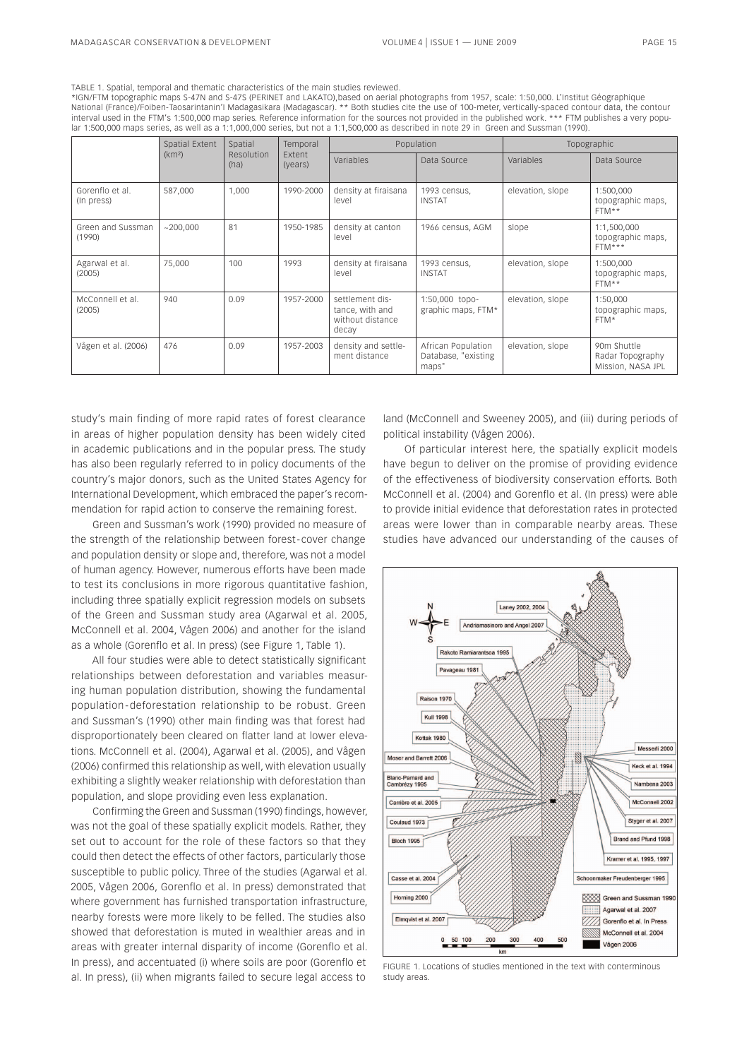TABLE 1. Spatial, temporal and thematic characteristics of the main studies reviewed. \*IGN/FTM topographic maps S-47N and S-47S (PERINET and LAKATO),based on aerial photographs from 1957, scale: 1:50,000. L'Institut Géographique National (France)/Foiben-Taosarintanin'I Madagasikara (Madagascar). \*\* Both studies cite the use of 100-meter, vertically-spaced contour data, the contour interval used in the FTM's 1:500,000 map series. Reference information for the sources not provided in the published work. \*\*\* FTM publishes a very popular 1:500,000 maps series, as well as a 1:1,000,000 series, but not a 1:1,500,000 as described in note 29 in Green and Sussman (1990).

|                               | Spatial Extent<br>(km <sup>2</sup> ) | Spatial<br>Resolution<br>(ha) | Temporal<br>Extent<br>(years) | Population                                                      |                                                    | Topographic      |                                                      |
|-------------------------------|--------------------------------------|-------------------------------|-------------------------------|-----------------------------------------------------------------|----------------------------------------------------|------------------|------------------------------------------------------|
|                               |                                      |                               |                               | Variables                                                       | Data Source                                        | Variables        | Data Source                                          |
| Gorenflo et al.<br>(In press) | 587,000                              | 1,000                         | 1990-2000                     | density at firaisana<br>level                                   | 1993 census,<br><b>INSTAT</b>                      | elevation, slope | 1:500,000<br>topographic maps,<br>FTM**              |
| Green and Sussman<br>(1990)   | ~200.000                             | 81                            | 1950-1985                     | density at canton<br>level                                      | 1966 census, AGM                                   | slope            | 1:1,500,000<br>topographic maps,<br>FTM***           |
| Agarwal et al.<br>(2005)      | 75,000                               | 100                           | 1993                          | density at firaisana<br>level                                   | 1993 census,<br><b>INSTAT</b>                      | elevation, slope | 1:500,000<br>topographic maps,<br>FTM**              |
| McConnell et al.<br>(2005)    | 940                                  | 0.09                          | 1957-2000                     | settlement dis-<br>tance, with and<br>without distance<br>decay | 1:50,000 topo-<br>graphic maps, FTM*               | elevation, slope | 1:50,000<br>topographic maps,<br>FTM*                |
| Vågen et al. (2006)           | 476                                  | 0.09                          | 1957-2003                     | density and settle-<br>ment distance                            | African Population<br>Database, "existing<br>maps" | elevation, slope | 90m Shuttle<br>Radar Topography<br>Mission, NASA JPL |

study's main finding of more rapid rates of forest clearance in areas of higher population density has been widely cited in academic publications and in the popular press. The study has also been regularly referred to in policy documents of the country's major donors, such as the United States Agency for International Development, which embraced the paper's recommendation for rapid action to conserve the remaining forest.

Green and Sussman's work (1990) provided no measure of the strength of the relationship between forest-cover change and population density or slope and, therefore, was not a model of human agency. However, numerous efforts have been made to test its conclusions in more rigorous quantitative fashion, including three spatially explicit regression models on subsets of the Green and Sussman study area (Agarwal et al. 2005, McConnell et al. 2004, Vågen 2006) and another for the island as a whole (Gorenflo et al. In press) (see Figure 1, Table 1).

All four studies were able to detect statistically significant relationships between deforestation and variables measuring human population distribution, showing the fundamental population - deforestation relationship to be robust. Green and Sussman's (1990) other main finding was that forest had disproportionately been cleared on flatter land at lower elevations. McConnell et al. (2004), Agarwal et al. (2005), and Vågen (2006) confirmed this relationship as well, with elevation usually exhibiting a slightly weaker relationship with deforestation than population, and slope providing even less explanation.

Confirming the Green and Sussman (1990) findings, however, was not the goal of these spatially explicit models. Rather, they set out to account for the role of these factors so that they could then detect the effects of other factors, particularly those susceptible to public policy. Three of the studies (Agarwal et al. 2005, Vågen 2006, Gorenflo et al. In press) demonstrated that where government has furnished transportation infrastructure, nearby forests were more likely to be felled. The studies also showed that deforestation is muted in wealthier areas and in areas with greater internal disparity of income (Gorenflo et al. In press), and accentuated (i) where soils are poor (Gorenflo et al. In press), (ii) when migrants failed to secure legal access to

land (McConnell and Sweeney 2005), and (iii) during periods of political instability (Vågen 2006).

Of particular interest here, the spatially explicit models have begun to deliver on the promise of providing evidence of the effectiveness of biodiversity conservation efforts. Both McConnell et al. (2004) and Gorenflo et al. (In press) were able to provide initial evidence that deforestation rates in protected areas were lower than in comparable nearby areas. These studies have advanced our understanding of the causes of



FIGURE 1. Locations of studies mentioned in the text with conterminous study areas.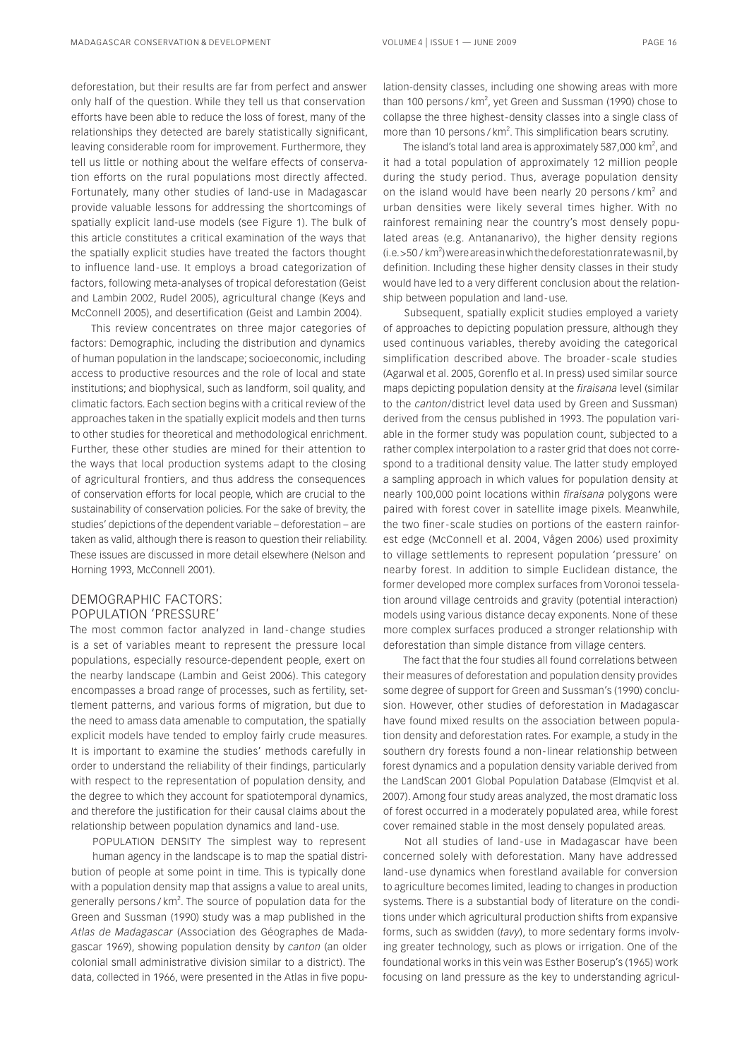deforestation, but their results are far from perfect and answer only half of the question. While they tell us that conservation efforts have been able to reduce the loss of forest, many of the relationships they detected are barely statistically significant, leaving considerable room for improvement. Furthermore, they tell us little or nothing about the welfare effects of conservation efforts on the rural populations most directly affected. Fortunately, many other studies of land-use in Madagascar provide valuable lessons for addressing the shortcomings of spatially explicit land-use models (see Figure 1). The bulk of this article constitutes a critical examination of the ways that the spatially explicit studies have treated the factors thought to influence land-use. It employs a broad categorization of factors, following meta-analyses of tropical deforestation (Geist and Lambin 2002, Rudel 2005), agricultural change (Keys and McConnell 2005), and desertification (Geist and Lambin 2004).

This review concentrates on three major categories of factors: Demographic, including the distribution and dynamics of human population in the landscape; socioeconomic, including access to productive resources and the role of local and state institutions; and biophysical, such as landform, soil quality, and climatic factors. Each section begins with a critical review of the approaches taken in the spatially explicit models and then turns to other studies for theoretical and methodological enrichment. Further, these other studies are mined for their attention to the ways that local production systems adapt to the closing of agricultural frontiers, and thus address the consequences of conservation efforts for local people, which are crucial to the sustainability of conservation policies. For the sake of brevity, the studies' depictions of the dependent variable – deforestation – are taken as valid, although there is reason to question their reliability. These issues are discussed in more detail elsewhere (Nelson and Horning 1993, McConnell 2001).

# DEMOGRAPHIC FACTORS: POPULATION 'PRESSURE'

The most common factor analyzed in land - change studies is a set of variables meant to represent the pressure local populations, especially resource-dependent people, exert on the nearby landscape (Lambin and Geist 2006). This category encompasses a broad range of processes, such as fertility, settlement patterns, and various forms of migration, but due to the need to amass data amenable to computation, the spatially explicit models have tended to employ fairly crude measures. It is important to examine the studies' methods carefully in order to understand the reliability of their findings, particularly with respect to the representation of population density, and the degree to which they account for spatiotemporal dynamics, and therefore the justification for their causal claims about the relationship between population dynamics and land - use.

POPULATION DENSITY The simplest way to represent human agency in the landscape is to map the spatial distribution of people at some point in time. This is typically done with a population density map that assigns a value to areal units, generally persons/km<sup>2</sup>. The source of population data for the Green and Sussman (1990) study was a map published in the *Atlas de Madagascar* (Association des Géographes de Madagascar 1969), showing population density by *canton* (an older colonial small administrative division similar to a district). The data, collected in 1966, were presented in the Atlas in five population-density classes, including one showing areas with more than 100 persons/ $km^2$ , yet Green and Sussman (1990) chose to collapse the three highest - density classes into a single class of more than 10 persons / km<sup>2</sup>. This simplification bears scrutiny.

The island's total land area is approximately 587,000  $km^2$ , and it had a total population of approximately 12 million people during the study period. Thus, average population density on the island would have been nearly 20 persons/ $km<sup>2</sup>$  and urban densities were likely several times higher. With no rainforest remaining near the country's most densely populated areas (e.g. Antananarivo), the higher density regions (i.e. >50 / km<sup>2</sup> ) were areas in which the deforestation rate was nil, by definition. Including these higher density classes in their study would have led to a very different conclusion about the relationship between population and land - use.

Subsequent, spatially explicit studies employed a variety of approaches to depicting population pressure, although they used continuous variables, thereby avoiding the categorical simplification described above. The broader - scale studies (Agarwal et al. 2005, Gorenflo et al. In press) used similar source maps depicting population density at the *firaisana* level (similar to the *canton*/district level data used by Green and Sussman) derived from the census published in 1993. The population variable in the former study was population count, subjected to a rather complex interpolation to a raster grid that does not correspond to a traditional density value. The latter study employed a sampling approach in which values for population density at nearly 100,000 point locations within *firaisana* polygons were paired with forest cover in satellite image pixels. Meanwhile, the two finer - scale studies on portions of the eastern rainforest edge (McConnell et al. 2004, Vågen 2006) used proximity to village settlements to represent population 'pressure' on nearby forest. In addition to simple Euclidean distance, the former developed more complex surfaces from Voronoi tesselation around village centroids and gravity (potential interaction) models using various distance decay exponents. None of these more complex surfaces produced a stronger relationship with deforestation than simple distance from village centers.

The fact that the four studies all found correlations between their measures of deforestation and population density provides some degree of support for Green and Sussman's (1990) conclusion. However, other studies of deforestation in Madagascar have found mixed results on the association between population density and deforestation rates. For example, a study in the southern dry forests found a non-linear relationship between forest dynamics and a population density variable derived from the LandScan 2001 Global Population Database (Elmqvist et al. 2007). Among four study areas analyzed, the most dramatic loss of forest occurred in a moderately populated area, while forest cover remained stable in the most densely populated areas.

Not all studies of land - use in Madagascar have been concerned solely with deforestation. Many have addressed land-use dynamics when forestland available for conversion to agriculture becomes limited, leading to changes in production systems. There is a substantial body of literature on the conditions under which agricultural production shifts from expansive forms, such as swidden (*tavy*), to more sedentary forms involving greater technology, such as plows or irrigation. One of the foundational works in this vein was Esther Boserup's (1965) work focusing on land pressure as the key to understanding agricul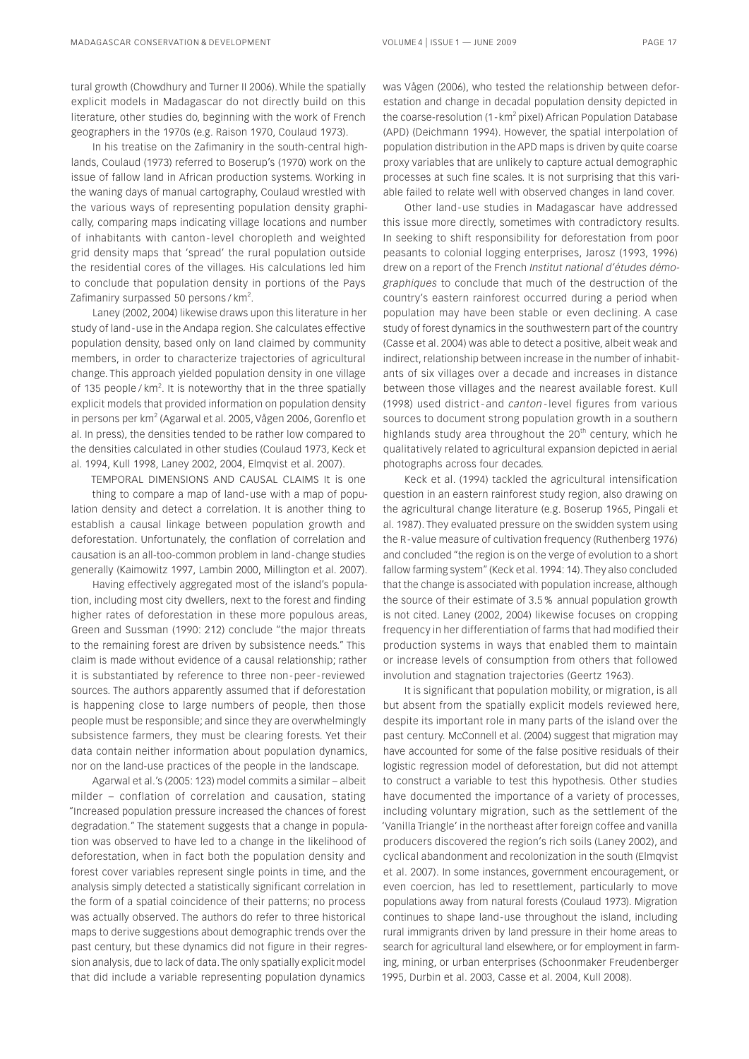tural growth (Chowdhury and Turner II 2006). While the spatially explicit models in Madagascar do not directly build on this literature, other studies do, beginning with the work of French geographers in the 1970s (e.g. Raison 1970, Coulaud 1973).

In his treatise on the Zafimaniry in the south-central highlands, Coulaud (1973) referred to Boserup's (1970) work on the issue of fallow land in African production systems. Working in the waning days of manual cartography, Coulaud wrestled with the various ways of representing population density graphically, comparing maps indicating village locations and number of inhabitants with canton - level choropleth and weighted grid density maps that 'spread' the rural population outside the residential cores of the villages. His calculations led him to conclude that population density in portions of the Pays Zafimaniry surpassed 50 persons / km<sup>2</sup>.

Laney (2002, 2004) likewise draws upon this literature in her study of land - use in the Andapa region. She calculates effective population density, based only on land claimed by community members, in order to characterize trajectories of agricultural change. This approach yielded population density in one village of 135 people/km<sup>2</sup>. It is noteworthy that in the three spatially explicit models that provided information on population density in persons per km<sup>2</sup> (Agarwal et al. 2005, Vågen 2006, Gorenflo et al. In press), the densities tended to be rather low compared to the densities calculated in other studies (Coulaud 1973, Keck et al. 1994, Kull 1998, Laney 2002, 2004, Elmqvist et al. 2007).

TEMPORAL DIMENSIONS AND CAUSAL CLAIMS It is one thing to compare a map of land-use with a map of population density and detect a correlation. It is another thing to establish a causal linkage between population growth and deforestation. Unfortunately, the conflation of correlation and causation is an all-too-common problem in land - change studies generally (Kaimowitz 1997, Lambin 2000, Millington et al. 2007).

Having effectively aggregated most of the island's population, including most city dwellers, next to the forest and finding higher rates of deforestation in these more populous areas Green and Sussman (1990: 212) conclude "the major threats to the remaining forest are driven by subsistence needs." This claim is made without evidence of a causal relationship; rather it is substantiated by reference to three non - peer - reviewed sources. The authors apparently assumed that if deforestation is happening close to large numbers of people, then those people must be responsible; and since they are overwhelmingly subsistence farmers, they must be clearing forests. Yet their data contain neither information about population dynamics, nor on the land-use practices of the people in the landscape.

Agarwal et al.'s (2005: 123) model commits a similar – albeit milder – conflation of correlation and causation, stating "Increased population pressure increased the chances of forest degradation." The statement suggests that a change in population was observed to have led to a change in the likelihood of deforestation, when in fact both the population density and forest cover variables represent single points in time, and the analysis simply detected a statistically significant correlation in the form of a spatial coincidence of their patterns; no process was actually observed. The authors do refer to three historical maps to derive suggestions about demographic trends over the past century, but these dynamics did not figure in their regression analysis, due to lack of data. The only spatially explicit model that did include a variable representing population dynamics

was Vågen (2006), who tested the relationship between deforestation and change in decadal population density depicted in the coarse-resolution (1- $km^2$  pixel) African Population Database (APD) (Deichmann 1994). However, the spatial interpolation of population distribution in the APD maps is driven by quite coarse proxy variables that are unlikely to capture actual demographic processes at such fine scales. It is not surprising that this variable failed to relate well with observed changes in land cover.

Other land-use studies in Madagascar have addressed this issue more directly, sometimes with contradictory results. In seeking to shift responsibility for deforestation from poor peasants to colonial logging enterprises, Jarosz (1993, 1996) drew on a report of the French *Institut national d'études démographiques* to conclude that much of the destruction of the country's eastern rainforest occurred during a period when population may have been stable or even declining. A case study of forest dynamics in the southwestern part of the country (Casse et al. 2004) was able to detect a positive, albeit weak and indirect, relationship between increase in the number of inhabitants of six villages over a decade and increases in distance between those villages and the nearest available forest. Kull (1998) used district - and *canton* - level figures from various sources to document strong population growth in a southern highlands study area throughout the  $20<sup>th</sup>$  century, which he qualitatively related to agricultural expansion depicted in aerial photographs across four decades.

Keck et al. (1994) tackled the agricultural intensification question in an eastern rainforest study region, also drawing on the agricultural change literature (e.g. Boserup 1965, Pingali et al. 1987). They evaluated pressure on the swidden system using the R - value measure of cultivation frequency (Ruthenberg 1976) and concluded "the region is on the verge of evolution to a short fallow farming system" (Keck et al. 1994: 14). They also concluded that the change is associated with population increase, although the source of their estimate of 3.5 % annual population growth is not cited. Laney (2002, 2004) likewise focuses on cropping frequency in her differentiation of farms that had modified their production systems in ways that enabled them to maintain or increase levels of consumption from others that followed involution and stagnation trajectories (Geertz 1963).

It is significant that population mobility, or migration, is all but absent from the spatially explicit models reviewed here, despite its important role in many parts of the island over the past century. McConnell et al. (2004) suggest that migration may have accounted for some of the false positive residuals of their logistic regression model of deforestation, but did not attempt to construct a variable to test this hypothesis. Other studies have documented the importance of a variety of processes, including voluntary migration, such as the settlement of the 'Vanilla Triangle' in the northeast after foreign coffee and vanilla producers discovered the region's rich soils (Laney 2002), and cyclical abandonment and recolonization in the south (Elmqvist et al. 2007). In some instances, government encouragement, or even coercion, has led to resettlement, particularly to move populations away from natural forests (Coulaud 1973). Migration continues to shape land - use throughout the island, including rural immigrants driven by land pressure in their home areas to search for agricultural land elsewhere, or for employment in farming, mining, or urban enterprises (Schoonmaker Freudenberger 1995, Durbin et al. 2003, Casse et al. 2004, Kull 2008).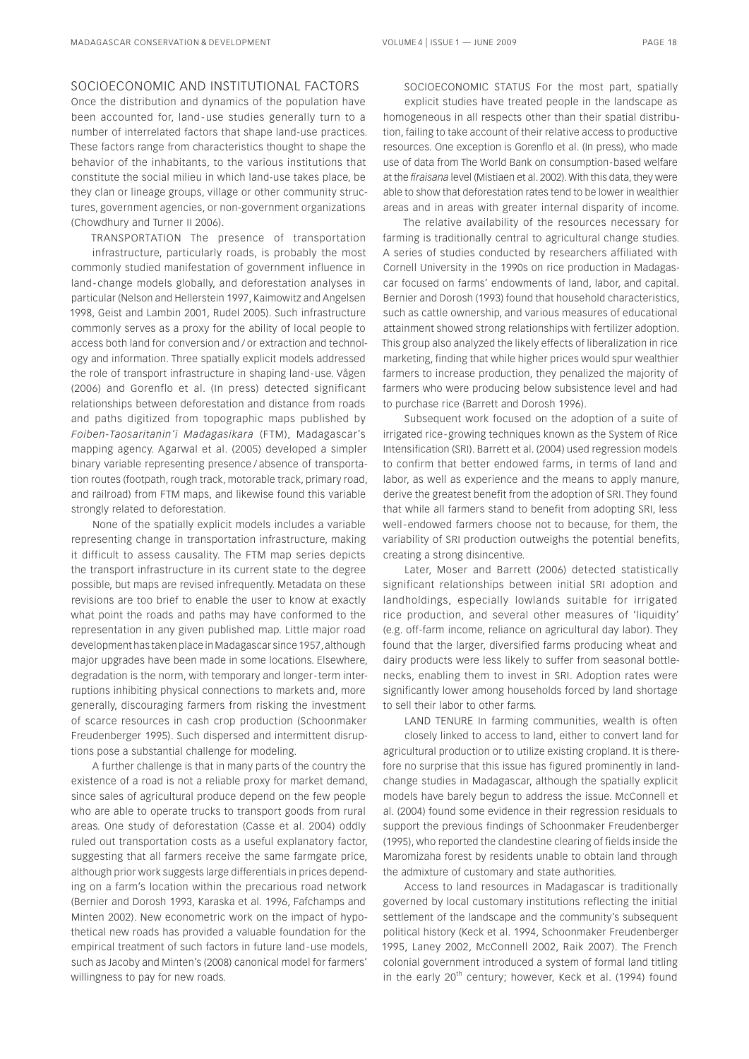# SOCIOECONOMIC AND INSTITUTIONAL FACTORS

Once the distribution and dynamics of the population have been accounted for, land-use studies generally turn to a number of interrelated factors that shape land-use practices. These factors range from characteristics thought to shape the behavior of the inhabitants, to the various institutions that constitute the social milieu in which land-use takes place, be they clan or lineage groups, village or other community structures, government agencies, or non-government organizations (Chowdhury and Turner II 2006).

TRANSPORTATION The presence of transportation infrastructure, particularly roads, is probably the most commonly studied manifestation of government influence in land - change models globally, and deforestation analyses in particular (Nelson and Hellerstein 1997, Kaimowitz and Angelsen 1998, Geist and Lambin 2001, Rudel 2005). Such infrastructure commonly serves as a proxy for the ability of local people to access both land for conversion and / or extraction and technology and information. Three spatially explicit models addressed the role of transport infrastructure in shaping land - use. Vågen (2006) and Gorenflo et al. (In press) detected significant relationships between deforestation and distance from roads and paths digitized from topographic maps published by *Foiben-Taosaritanin'i Madagasikara* (FTM), Madagascar's mapping agency. Agarwal et al. (2005) developed a simpler binary variable representing presence / absence of transportation routes (footpath, rough track, motorable track, primary road, and railroad) from FTM maps, and likewise found this variable strongly related to deforestation.

None of the spatially explicit models includes a variable representing change in transportation infrastructure, making it difficult to assess causality. The FTM map series depicts the transport infrastructure in its current state to the degree possible, but maps are revised infrequently. Metadata on these revisions are too brief to enable the user to know at exactly what point the roads and paths may have conformed to the representation in any given published map. Little major road development has taken place in Madagascar since 1957, although major upgrades have been made in some locations. Elsewhere, degradation is the norm, with temporary and longer - term interruptions inhibiting physical connections to markets and, more generally, discouraging farmers from risking the investment of scarce resources in cash crop production (Schoonmaker Freudenberger 1995). Such dispersed and intermittent disruptions pose a substantial challenge for modeling.

A further challenge is that in many parts of the country the existence of a road is not a reliable proxy for market demand, since sales of agricultural produce depend on the few people who are able to operate trucks to transport goods from rural areas. One study of deforestation (Casse et al. 2004) oddly ruled out transportation costs as a useful explanatory factor, suggesting that all farmers receive the same farmgate price, although prior work suggests large differentials in prices depending on a farm's location within the precarious road network (Bernier and Dorosh 1993, Karaska et al. 1996, Fafchamps and Minten 2002). New econometric work on the impact of hypothetical new roads has provided a valuable foundation for the empirical treatment of such factors in future land-use models such as Jacoby and Minten's (2008) canonical model for farmers' willingness to pay for new roads.

SOCIOECONOMIC STATUS For the most part, spatially

explicit studies have treated people in the landscape as homogeneous in all respects other than their spatial distribution, failing to take account of their relative access to productive resources. One exception is Gorenflo et al. (In press), who made use of data from The World Bank on consumption - based welfare at the *firaisana* level (Mistiaen et al. 2002). With this data, they were able to show that deforestation rates tend to be lower in wealthier areas and in areas with greater internal disparity of income.

The relative availability of the resources necessary for farming is traditionally central to agricultural change studies. A series of studies conducted by researchers affiliated with Cornell University in the 1990s on rice production in Madagascar focused on farms' endowments of land, labor, and capital. Bernier and Dorosh (1993) found that household characteristics, such as cattle ownership, and various measures of educational attainment showed strong relationships with fertilizer adoption. This group also analyzed the likely effects of liberalization in rice marketing, finding that while higher prices would spur wealthier farmers to increase production, they penalized the majority of farmers who were producing below subsistence level and had to purchase rice (Barrett and Dorosh 1996).

Subsequent work focused on the adoption of a suite of irrigated rice - growing techniques known as the System of Rice Intensification (SRI). Barrett et al. (2004) used regression models to confirm that better endowed farms, in terms of land and labor, as well as experience and the means to apply manure, derive the greatest benefit from the adoption of SRI. They found that while all farmers stand to benefit from adopting SRI, less well-endowed farmers choose not to because, for them, the variability of SRI production outweighs the potential benefits, creating a strong disincentive.

Later, Moser and Barrett (2006) detected statistically significant relationships between initial SRI adoption and landholdings, especially lowlands suitable for irrigated rice production, and several other measures of 'liquidity' (e.g. off-farm income, reliance on agricultural day labor). They found that the larger, diversified farms producing wheat and dairy products were less likely to suffer from seasonal bottlenecks, enabling them to invest in SRI. Adoption rates were significantly lower among households forced by land shortage to sell their labor to other farms.

LAND TENURE In farming communities, wealth is often closely linked to access to land, either to convert land for agricultural production or to utilize existing cropland. It is therefore no surprise that this issue has figured prominently in landchange studies in Madagascar, although the spatially explicit models have barely begun to address the issue. McConnell et al. (2004) found some evidence in their regression residuals to support the previous findings of Schoonmaker Freudenberger (1995), who reported the clandestine clearing of fields inside the Maromizaha forest by residents unable to obtain land through the admixture of customary and state authorities.

Access to land resources in Madagascar is traditionally governed by local customary institutions reflecting the initial settlement of the landscape and the community's subsequent political history (Keck et al. 1994, Schoonmaker Freudenberger 1995, Laney 2002, McConnell 2002, Raik 2007). The French colonial government introduced a system of formal land titling in the early  $20<sup>th</sup>$  century; however, Keck et al. (1994) found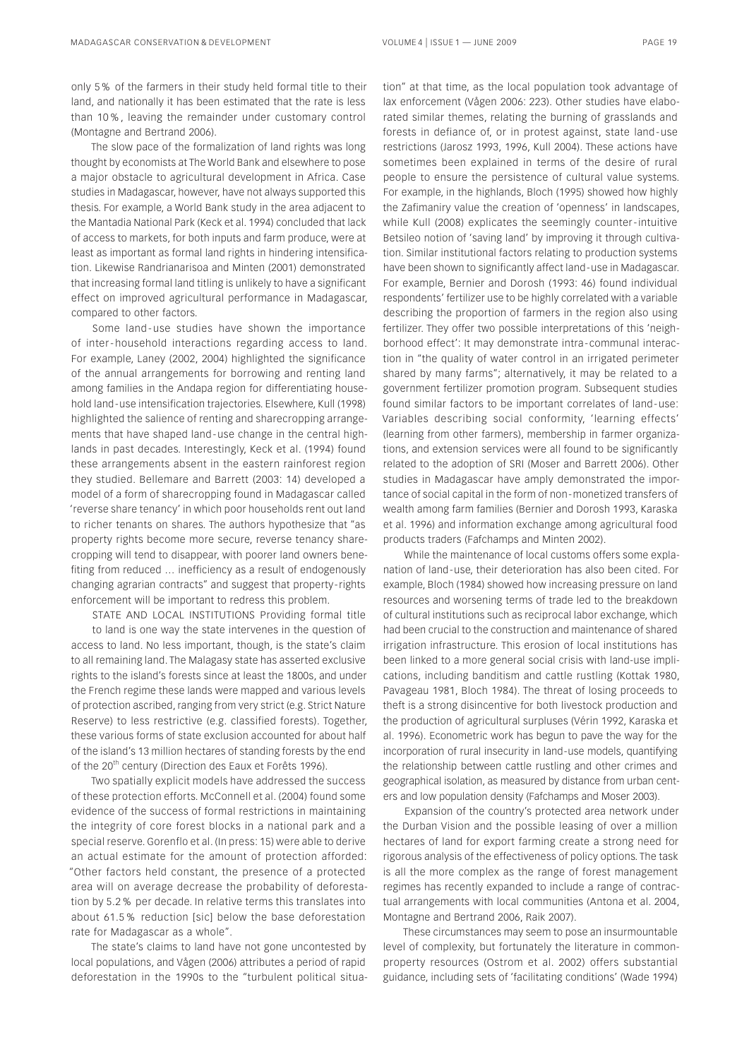only 5 % of the farmers in their study held formal title to their land, and nationally it has been estimated that the rate is less than 10 % , leaving the remainder under customary control (Montagne and Bertrand 2006).

The slow pace of the formalization of land rights was long thought by economists at The World Bank and elsewhere to pose a major obstacle to agricultural development in Africa. Case studies in Madagascar, however, have not always supported this thesis. For example, a World Bank study in the area adjacent to the Mantadia National Park (Keck et al. 1994) concluded that lack of access to markets, for both inputs and farm produce, were at least as important as formal land rights in hindering intensification. Likewise Randrianarisoa and Minten (2001) demonstrated that increasing formal land titling is unlikely to have a significant effect on improved agricultural performance in Madagascar, compared to other factors.

Some land-use studies have shown the importance of inter - household interactions regarding access to land. For example, Laney (2002, 2004) highlighted the significance of the annual arrangements for borrowing and renting land among families in the Andapa region for differentiating household land - use intensification trajectories. Elsewhere, Kull (1998) highlighted the salience of renting and sharecropping arrangements that have shaped land - use change in the central highlands in past decades. Interestingly, Keck et al. (1994) found these arrangements absent in the eastern rainforest region they studied. Bellemare and Barrett (2003: 14) developed a model of a form of sharecropping found in Madagascar called 'reverse share tenancy' in which poor households rent out land to richer tenants on shares. The authors hypothesize that "as property rights become more secure, reverse tenancy sharecropping will tend to disappear, with poorer land owners benefiting from reduced … inefficiency as a result of endogenously changing agrarian contracts" and suggest that property - rights enforcement will be important to redress this problem.

STATE AND LOCAL INSTITUTIONS Providing formal title to land is one way the state intervenes in the question of access to land. No less important, though, is the state's claim to all remaining land. The Malagasy state has asserted exclusive rights to the island's forests since at least the 1800s, and under the French regime these lands were mapped and various levels of protection ascribed, ranging from very strict (e.g. Strict Nature Reserve) to less restrictive (e.g. classified forests). Together, these various forms of state exclusion accounted for about half of the island's 13 million hectares of standing forests by the end of the 20<sup>th</sup> century (Direction des Eaux et Forêts 1996).

Two spatially explicit models have addressed the success of these protection efforts. McConnell et al. (2004) found some evidence of the success of formal restrictions in maintaining the integrity of core forest blocks in a national park and a special reserve. Gorenflo et al. (In press: 15) were able to derive an actual estimate for the amount of protection afforded: "Other factors held constant, the presence of a protected area will on average decrease the probability of deforestation by 5.2 % per decade. In relative terms this translates into about 61.5% reduction [sic] below the base deforestation rate for Madagascar as a whole".

The state's claims to land have not gone uncontested by local populations, and Vågen (2006) attributes a period of rapid deforestation in the 1990s to the "turbulent political situation" at that time, as the local population took advantage of lax enforcement (Vågen 2006: 223). Other studies have elaborated similar themes, relating the burning of grasslands and forests in defiance of, or in protest against, state land-use restrictions (Jarosz 1993, 1996, Kull 2004). These actions have sometimes been explained in terms of the desire of rural people to ensure the persistence of cultural value systems. For example, in the highlands, Bloch (1995) showed how highly the Zafimaniry value the creation of 'openness' in landscapes, while Kull (2008) explicates the seemingly counter - intuitive Betsileo notion of 'saving land' by improving it through cultivation. Similar institutional factors relating to production systems have been shown to significantly affect land - use in Madagascar. For example, Bernier and Dorosh (1993: 46) found individual respondents' fertilizer use to be highly correlated with a variable describing the proportion of farmers in the region also using fertilizer. They offer two possible interpretations of this 'neighborhood effect': It may demonstrate intra - communal interaction in "the quality of water control in an irrigated perimeter shared by many farms"; alternatively, it may be related to a government fertilizer promotion program. Subsequent studies found similar factors to be important correlates of land - use: Variables describing social conformity, 'learning effects' (learning from other farmers), membership in farmer organizations, and extension services were all found to be significantly related to the adoption of SRI (Moser and Barrett 2006). Other studies in Madagascar have amply demonstrated the importance of social capital in the form of non - monetized transfers of wealth among farm families (Bernier and Dorosh 1993, Karaska et al. 1996) and information exchange among agricultural food products traders (Fafchamps and Minten 2002).

While the maintenance of local customs offers some explanation of land - use, their deterioration has also been cited. For example, Bloch (1984) showed how increasing pressure on land resources and worsening terms of trade led to the breakdown of cultural institutions such as reciprocal labor exchange, which had been crucial to the construction and maintenance of shared irrigation infrastructure. This erosion of local institutions has been linked to a more general social crisis with land-use implications, including banditism and cattle rustling (Kottak 1980, Pavageau 1981, Bloch 1984). The threat of losing proceeds to theft is a strong disincentive for both livestock production and the production of agricultural surpluses (Vérin 1992, Karaska et al. 1996). Econometric work has begun to pave the way for the incorporation of rural insecurity in land-use models, quantifying the relationship between cattle rustling and other crimes and geographical isolation, as measured by distance from urban centers and low population density (Fafchamps and Moser 2003).

Expansion of the country's protected area network under the Durban Vision and the possible leasing of over a million hectares of land for export farming create a strong need for rigorous analysis of the effectiveness of policy options. The task is all the more complex as the range of forest management regimes has recently expanded to include a range of contractual arrangements with local communities (Antona et al. 2004, Montagne and Bertrand 2006, Raik 2007).

These circumstances may seem to pose an insurmountable level of complexity, but fortunately the literature in commonproperty resources (Ostrom et al. 2002) offers substantial guidance, including sets of 'facilitating conditions' (Wade 1994)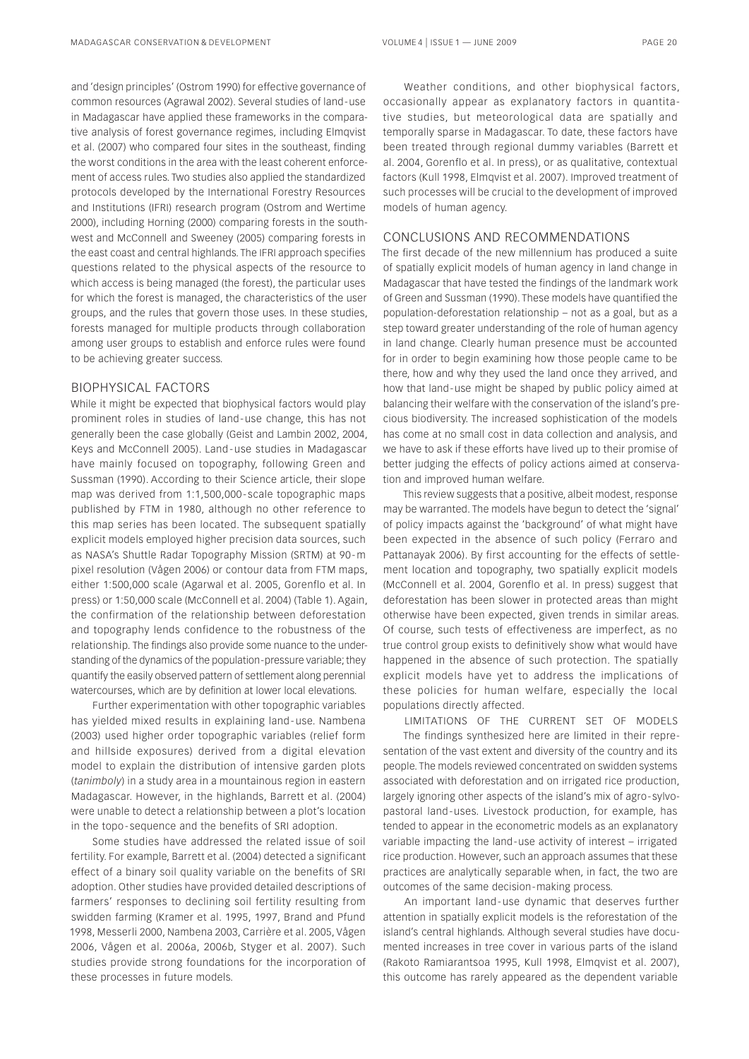and 'design principles' (Ostrom 1990) for effective governance of common resources (Agrawal 2002). Several studies of land - use in Madagascar have applied these frameworks in the comparative analysis of forest governance regimes, including Elmqvist et al. (2007) who compared four sites in the southeast, finding the worst conditions in the area with the least coherent enforcement of access rules. Two studies also applied the standardized protocols developed by the International Forestry Resources and Institutions (IFRI) research program (Ostrom and Wertime 2000), including Horning (2000) comparing forests in the southwest and McConnell and Sweeney (2005) comparing forests in the east coast and central highlands. The IFRI approach specifies questions related to the physical aspects of the resource to which access is being managed (the forest), the particular uses for which the forest is managed, the characteristics of the user groups, and the rules that govern those uses. In these studies, forests managed for multiple products through collaboration among user groups to establish and enforce rules were found to be achieving greater success.

#### BIOPHYSICAL FACTORS

While it might be expected that biophysical factors would play prominent roles in studies of land-use change, this has not generally been the case globally (Geist and Lambin 2002, 2004, Keys and McConnell 2005). Land - use studies in Madagascar have mainly focused on topography, following Green and Sussman (1990). According to their Science article, their slope map was derived from 1:1,500,000 - scale topographic maps published by FTM in 1980, although no other reference to this map series has been located. The subsequent spatially explicit models employed higher precision data sources, such as NASA's Shuttle Radar Topography Mission (SRTM) at 90 - m pixel resolution (Vågen 2006) or contour data from FTM maps, either 1:500,000 scale (Agarwal et al. 2005, Gorenflo et al. In press) or 1:50,000 scale (McConnell et al. 2004) (Table 1). Again, the confirmation of the relationship between deforestation and topography lends confidence to the robustness of the relationship. The findings also provide some nuance to the understanding of the dynamics of the population - pressure variable; they quantify the easily observed pattern of settlement along perennial watercourses, which are by definition at lower local elevations.

Further experimentation with other topographic variables has yielded mixed results in explaining land - use. Nambena (2003) used higher order topographic variables (relief form and hillside exposures) derived from a digital elevation model to explain the distribution of intensive garden plots (*tanimboly*) in a study area in a mountainous region in eastern Madagascar. However, in the highlands, Barrett et al. (2004) were unable to detect a relationship between a plot's location in the topo - sequence and the benefits of SRI adoption.

Some studies have addressed the related issue of soil fertility. For example, Barrett et al. (2004) detected a significant effect of a binary soil quality variable on the benefits of SRI adoption. Other studies have provided detailed descriptions of farmers' responses to declining soil fertility resulting from swidden farming (Kramer et al. 1995, 1997, Brand and Pfund 1998, Messerli 2000, Nambena 2003, Carrière et al. 2005, Vågen 2006, Vågen et al. 2006a, 2006b, Styger et al. 2007). Such studies provide strong foundations for the incorporation of these processes in future models.

Weather conditions, and other biophysical factors, occasionally appear as explanatory factors in quantitative studies, but meteorological data are spatially and temporally sparse in Madagascar. To date, these factors have been treated through regional dummy variables (Barrett et al. 2004, Gorenflo et al. In press), or as qualitative, contextual factors (Kull 1998, Elmqvist et al. 2007). Improved treatment of such processes will be crucial to the development of improved models of human agency.

# CONCLUSIONS AND RECOMMENDATIONS

The first decade of the new millennium has produced a suite of spatially explicit models of human agency in land change in Madagascar that have tested the findings of the landmark work of Green and Sussman (1990). These models have quantified the population-deforestation relationship – not as a goal, but as a step toward greater understanding of the role of human agency in land change. Clearly human presence must be accounted for in order to begin examining how those people came to be there, how and why they used the land once they arrived, and how that land-use might be shaped by public policy aimed at balancing their welfare with the conservation of the island's precious biodiversity. The increased sophistication of the models has come at no small cost in data collection and analysis, and we have to ask if these efforts have lived up to their promise of better judging the effects of policy actions aimed at conservation and improved human welfare.

This review suggests that a positive, albeit modest, response may be warranted. The models have begun to detect the 'signal' of policy impacts against the 'background' of what might have been expected in the absence of such policy (Ferraro and Pattanayak 2006). By first accounting for the effects of settlement location and topography, two spatially explicit models (McConnell et al. 2004, Gorenflo et al. In press) suggest that deforestation has been slower in protected areas than might otherwise have been expected, given trends in similar areas. Of course, such tests of effectiveness are imperfect, as no true control group exists to definitively show what would have happened in the absence of such protection. The spatially explicit models have yet to address the implications of these policies for human welfare, especially the local populations directly affected.

LIMITATIONS OF THE CURRENT SET OF MODELS The findings synthesized here are limited in their representation of the vast extent and diversity of the country and its people. The models reviewed concentrated on swidden systems associated with deforestation and on irrigated rice production, largely ignoring other aspects of the island's mix of agro - sylvopastoral land - uses. Livestock production, for example, has tended to appear in the econometric models as an explanatory variable impacting the land-use activity of interest – irrigated rice production. However, such an approach assumes that these practices are analytically separable when, in fact, the two are outcomes of the same decision - making process.

An important land-use dynamic that deserves further attention in spatially explicit models is the reforestation of the island's central highlands. Although several studies have documented increases in tree cover in various parts of the island (Rakoto Ramiarantsoa 1995, Kull 1998, Elmqvist et al. 2007), this outcome has rarely appeared as the dependent variable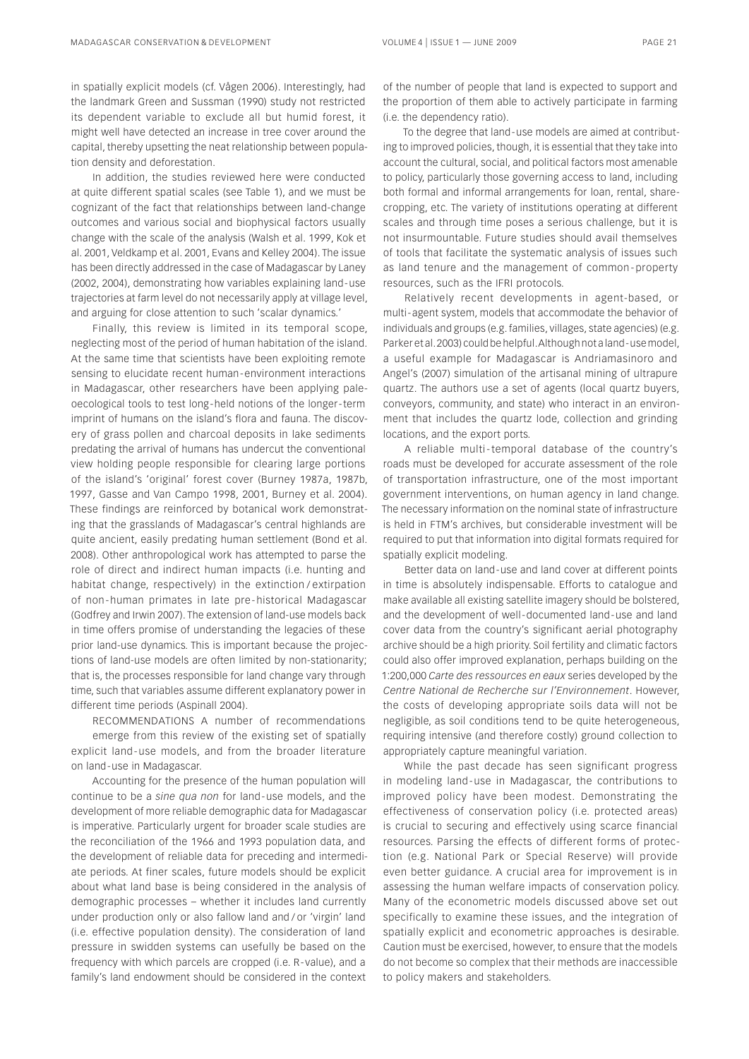in spatially explicit models (cf. Vågen 2006). Interestingly, had the landmark Green and Sussman (1990) study not restricted its dependent variable to exclude all but humid forest, it might well have detected an increase in tree cover around the capital, thereby upsetting the neat relationship between population density and deforestation.

In addition, the studies reviewed here were conducted at quite different spatial scales (see Table 1), and we must be cognizant of the fact that relationships between land-change outcomes and various social and biophysical factors usually change with the scale of the analysis (Walsh et al. 1999, Kok et al. 2001, Veldkamp et al. 2001, Evans and Kelley 2004). The issue has been directly addressed in the case of Madagascar by Laney (2002, 2004), demonstrating how variables explaining land - use trajectories at farm level do not necessarily apply at village level, and arguing for close attention to such 'scalar dynamics.'

Finally, this review is limited in its temporal scope, neglecting most of the period of human habitation of the island. At the same time that scientists have been exploiting remote sensing to elucidate recent human - environment interactions in Madagascar, other researchers have been applying paleoecological tools to test long - held notions of the longer - term imprint of humans on the island's flora and fauna. The discovery of grass pollen and charcoal deposits in lake sediments predating the arrival of humans has undercut the conventional view holding people responsible for clearing large portions of the island's 'original' forest cover (Burney 1987a, 1987b, 1997, Gasse and Van Campo 1998, 2001, Burney et al. 2004). These findings are reinforced by botanical work demonstrating that the grasslands of Madagascar's central highlands are quite ancient, easily predating human settlement (Bond et al. 2008). Other anthropological work has attempted to parse the role of direct and indirect human impacts (i.e. hunting and habitat change, respectively) in the extinction / extirpation of non - human primates in late pre - historical Madagascar (Godfrey and Irwin 2007). The extension of land-use models back in time offers promise of understanding the legacies of these prior land-use dynamics. This is important because the projections of land-use models are often limited by non-stationarity; that is, the processes responsible for land change vary through time, such that variables assume different explanatory power in different time periods (Aspinall 2004).

RECOMMENDATIONS A number of recommendations emerge from this review of the existing set of spatially explicit land-use models, and from the broader literature on land - use in Madagascar.

Accounting for the presence of the human population will continue to be a *sine qua non* for land - use models, and the development of more reliable demographic data for Madagascar is imperative. Particularly urgent for broader scale studies are the reconciliation of the 1966 and 1993 population data, and the development of reliable data for preceding and intermediate periods. At finer scales, future models should be explicit about what land base is being considered in the analysis of demographic processes – whether it includes land currently under production only or also fallow land and / or 'virgin' land (i.e. effective population density). The consideration of land pressure in swidden systems can usefully be based on the frequency with which parcels are cropped (i.e. R - value), and a family's land endowment should be considered in the context

of the number of people that land is expected to support and the proportion of them able to actively participate in farming (i.e. the dependency ratio).

To the degree that land - use models are aimed at contributing to improved policies, though, it is essential that they take into account the cultural, social, and political factors most amenable to policy, particularly those governing access to land, including both formal and informal arrangements for loan, rental, sharecropping, etc. The variety of institutions operating at different scales and through time poses a serious challenge, but it is not insurmountable. Future studies should avail themselves of tools that facilitate the systematic analysis of issues such as land tenure and the management of common - property resources, such as the IFRI protocols.

Relatively recent developments in agent-based, or multi-agent system, models that accommodate the behavior of individuals and groups (e.g. families, villages, state agencies) (e.g. Parker et al. 2003) could be helpful. Although not a land - use model, a useful example for Madagascar is Andriamasinoro and Angel's (2007) simulation of the artisanal mining of ultrapure quartz. The authors use a set of agents (local quartz buyers, conveyors, community, and state) who interact in an environment that includes the quartz lode, collection and grinding locations, and the export ports.

A reliable multi-temporal database of the country's roads must be developed for accurate assessment of the role of transportation infrastructure, one of the most important government interventions, on human agency in land change. The necessary information on the nominal state of infrastructure is held in FTM's archives, but considerable investment will be required to put that information into digital formats required for spatially explicit modeling.

Better data on land - use and land cover at different points in time is absolutely indispensable. Efforts to catalogue and make available all existing satellite imagery should be bolstered, and the development of well - documented land - use and land cover data from the country's significant aerial photography archive should be a high priority. Soil fertility and climatic factors could also offer improved explanation, perhaps building on the 1:200,000 *Carte des ressources en eaux* series developed by the *Centre National de Recherche sur l'Environnement*. However, the costs of developing appropriate soils data will not be negligible, as soil conditions tend to be quite heterogeneous, requiring intensive (and therefore costly) ground collection to appropriately capture meaningful variation.

While the past decade has seen significant progress in modeling land - use in Madagascar, the contributions to improved policy have been modest. Demonstrating the effectiveness of conservation policy (i.e. protected areas) is crucial to securing and effectively using scarce financial resources. Parsing the effects of different forms of protection (e.g. National Park or Special Reserve) will provide even better guidance. A crucial area for improvement is in assessing the human welfare impacts of conservation policy. Many of the econometric models discussed above set out specifically to examine these issues, and the integration of spatially explicit and econometric approaches is desirable. Caution must be exercised, however, to ensure that the models do not become so complex that their methods are inaccessible to policy makers and stakeholders.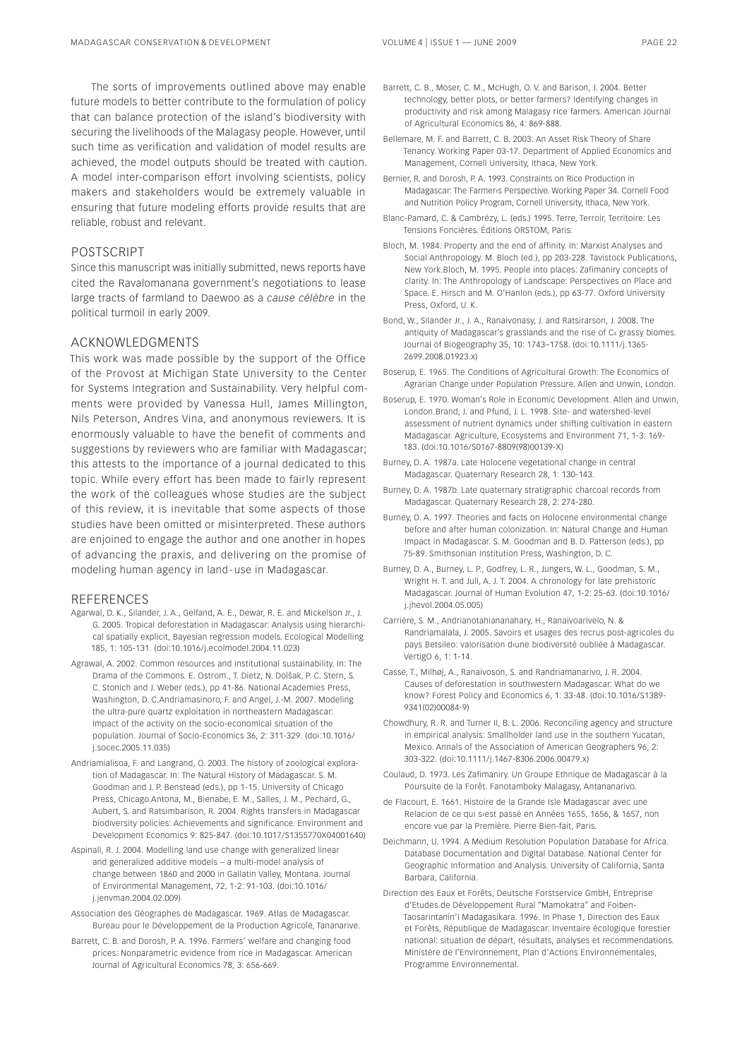The sorts of improvements outlined above may enable future models to better contribute to the formulation of policy that can balance protection of the island's biodiversity with securing the livelihoods of the Malagasy people. However, until such time as verification and validation of model results are achieved, the model outputs should be treated with caution. A model inter-comparison effort involving scientists, policy makers and stakeholders would be extremely valuable in ensuring that future modeling efforts provide results that are reliable, robust and relevant.

### POSTSCRIPT

Since this manuscript was initially submitted, news reports have cited the Ravalomanana government's negotiations to lease large tracts of farmland to Daewoo as a *cause célèbre* in the political turmoil in early 2009.

#### ACKNOWLEDGMENTS

This work was made possible by the support of the Office of the Provost at Michigan State University to the Center for Systems Integration and Sustainability. Very helpful comments were provided by Vanessa Hull, James Millington, Nils Peterson, Andres Vina, and anonymous reviewers. It is enormously valuable to have the benefit of comments and suggestions by reviewers who are familiar with Madagascar; this attests to the importance of a journal dedicated to this topic. While every effort has been made to fairly represent the work of the colleagues whose studies are the subject of this review, it is inevitable that some aspects of those studies have been omitted or misinterpreted. These authors are enjoined to engage the author and one another in hopes of advancing the praxis, and delivering on the promise of modeling human agency in land - use in Madagascar.

#### REFERENCES

- Agarwal, D. K., Silander, J. A., Gelfand, A. E., Dewar, R. E. and Mickelson Jr., J. G. 2005. Tropical deforestation in Madagascar: Analysis using hierarchical spatially explicit, Bayesian regression models. Ecological Modelling 185, 1: 105-131. (doi:10.1016/j.ecolmodel.2004.11.023)
- Agrawal, A. 2002. Common resources and institutional sustainability. In: The Drama of the Commons. E. Ostrom., T. Dietz, N. Dolšak, P. C. Stern, S. C. Stonich and J. Weber (eds.), pp 41-86. National Academies Press, Washington, D. C. Andriamasinoro, F. and Angel, J.-M. 2007. Modeling the ultra-pure quartz exploitation in northeastern Madagascar: Impact of the activity on the socio-economical situation of the population. Journal of Socio-Economics 36, 2: 311-329. (doi:10.1016/ j.socec.2005.11.035)
- Andriamialisoa, F. and Langrand, O. 2003. The history of zoological exploration of Madagascar. In: The Natural History of Madagascar. S. M. Goodman and J. P. Benstead (eds.), pp 1-15. University of Chicago Press, Chicago.Antona, M., Bienabe, E. M., Salles, J. M., Pechard, G., Aubert, S. and Ratsimbarison, R. 2004. Rights transfers in Madagascar biodiversity policies: Achievements and significance. Environment and Development Economics 9: 825-847. (doi:10.1017/S1355770X04001640)
- Aspinall, R. J. 2004. Modelling land use change with generalized linear and generalized additive models – a multi-model analysis of change between 1860 and 2000 in Gallatin Valley, Montana. Journal of Environmental Management, 72, 1-2: 91-103. (doi:10.1016/ j.jenvman.2004.02.009)
- Association des Géographes de Madagascar. 1969. Atlas de Madagascar. Bureau pour le Développement de la Production Agricole, Tananarive.
- Barrett, C. B. and Dorosh, P. A. 1996. Farmers' welfare and changing food prices: Nonparametric evidence from rice in Madagascar. American Journal of Agricultural Economics 78, 3: 656-669.
- Barrett, C. B., Moser, C. M., McHugh, O. V. and Barison, J. 2004. Better technology, better plots, or better farmers? Identifying changes in productivity and risk among Malagasy rice farmers. American Journal of Agricultural Economics 86, 4: 869-888.
- Bellemare, M. F. and Barrett, C. B. 2003. An Asset Risk Theory of Share Tenancy. Working Paper 03-17. Department of Applied Economics and Management, Cornell University, Ithaca, New York.
- Bernier, R. and Dorosh, P. A. 1993. Constraints on Rice Production in Madagascar: The Farmer›s Perspective. Working Paper 34. Cornell Food and Nutrition Policy Program, Cornell University, Ithaca, New York.
- Blanc-Pamard, C. & Cambrézy, L. (eds.) 1995. Terre, Terroir, Territoire: Les Tensions Foncières. Éditions ORSTOM, Paris.
- Bloch, M. 1984. Property and the end of affinity. In: Marxist Analyses and Social Anthropology. M. Bloch (ed.), pp 203-228. Tavistock Publications, New York.Bloch, M. 1995. People into places: Zafimaniry concepts of clarity. In: The Anthropology of Landscape: Perspectives on Place and Space. E. Hirsch and M. O'Hanlon (eds.), pp 63-77. Oxford University Press, Oxford, U. K.
- Bond, W., Silander Jr., J. A., Ranaivonasy, J. and Ratsirarson, J. 2008. The antiquity of Madagascar's grasslands and the rise of C4 grassy biomes. Journal of Biogeography 35, 10: 1743–1758. (doi:10.1111/j.1365- 2699.2008.01923.x)
- Boserup, E. 1965. The Conditions of Agricultural Growth: The Economics of Agrarian Change under Population Pressure. Allen and Unwin, London.
- Boserup, E. 1970. Woman's Role in Economic Development. Allen and Unwin, London.Brand, J. and Pfund, J. L. 1998. Site- and watershed-level assessment of nutrient dynamics under shifting cultivation in eastern Madagascar. Agriculture, Ecosystems and Environment 71, 1-3: 169- 183. (doi:10.1016/S0167-8809(98)00139-X)
- Burney, D. A. 1987a. Late Holocene vegetational change in central Madagascar. Quaternary Research 28, 1: 130-143.
- Burney, D. A. 1987b. Late quaternary stratigraphic charcoal records from Madagascar. Quaternary Research 28, 2: 274-280.
- Burney, D. A. 1997. Theories and facts on Holocene environmental change before and after human colonization. In: Natural Change and Human Impact in Madagascar. S. M. Goodman and B. D. Patterson (eds.), pp 75-89. Smithsonian Institution Press, Washington, D. C.
- Burney, D. A., Burney, L. P., Godfrey, L. R., Jungers, W. L., Goodman, S. M., Wright H. T. and Jull, A. J. T. 2004. A chronology for late prehistoric Madagascar. Journal of Human Evolution 47, 1-2: 25-63. (doi:10.1016/ j.jhevol.2004.05.005)
- Carrière, S. M., Andrianotahiananahary, H., Ranaivoarivelo, N. & Randriamalala, J. 2005. Savoirs et usages des recrus post-agricoles du pays Betsileo: valorisation d›une biodiversité oubliée à Madagascar. VertigO 6, 1: 1-14.
- Casse, T., Milhøj, A., Ranaivoson, S. and Randriamanarivo, J. R. 2004. Causes of deforestation in southwestern Madagascar: What do we know? Forest Policy and Economics 6, 1: 33-48. (doi:10.1016/S1389- 9341(02)00084-9)
- Chowdhury, R. R. and Turner II, B. L. 2006. Reconciling agency and structure in empirical analysis: Smallholder land use in the southern Yucatan, Mexico. Annals of the Association of American Geographers 96, 2: 303-322. (doi:10.1111/j.1467-8306.2006.00479.x)
- Coulaud, D. 1973. Les Zafimaniry. Un Groupe Ethnique de Madagascar à la Poursuite de la Forêt. Fanotamboky Malagasy, Antananarivo.
- de Flacourt, E. 1661. Histoire de la Grande Isle Madagascar avec une Relacion de ce qui s›est passé en Années 1655, 1656, & 1657, non encore vue par la Première. Pierre Bien-fait, Paris.
- Deichmann, U. 1994. A Medium Resolution Population Database for Africa. Database Documentation and Digital Database. National Center for Geographic Information and Analysis. University of California, Santa Barbara, California.
- Direction des Eaux et Forêts, Deutsche Forstservice GmbH, Entreprise d'Etudes de Développement Rural "Mamokatra" and Foiben-Taosarintanin'I Madagasikara. 1996. In Phase 1, Direction des Eaux et Forêts, République de Madagascar: Inventaire écologique forestier national: situation de départ, résultats, analyses et recommendations. Ministère de l'Environnement, Plan d'Actions Environnementales, Programme Environnemental.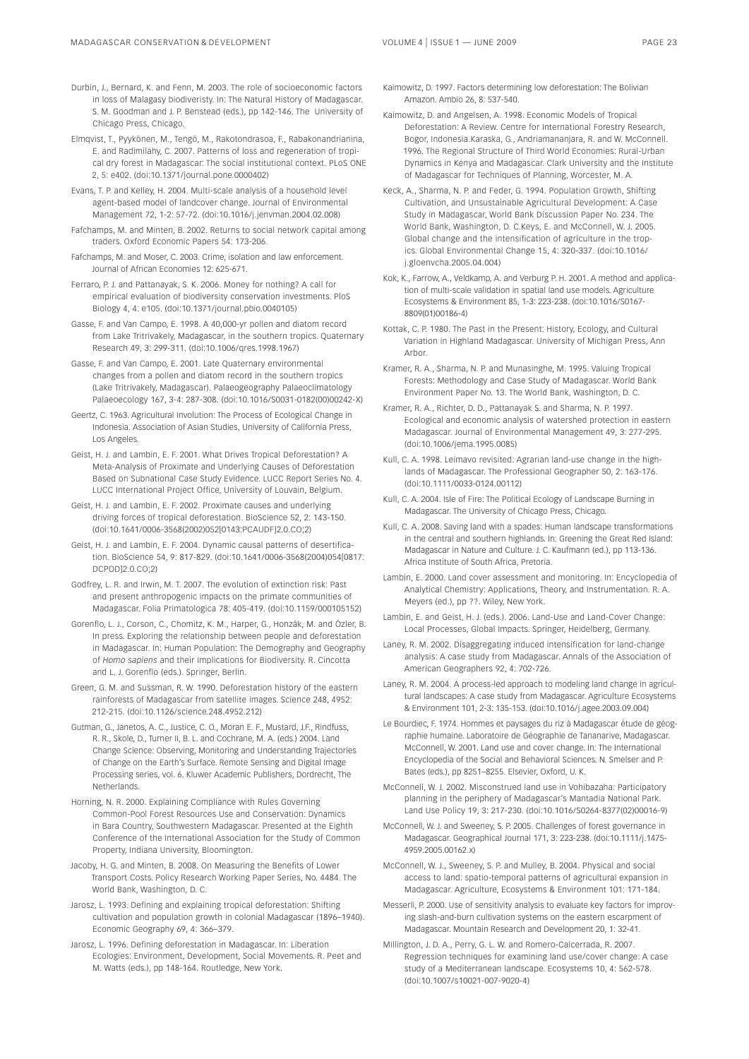- Durbin, J., Bernard, K. and Fenn, M. 2003. The role of socioeconomic factors in loss of Malagasy biodiveristy. In: The Natural History of Madagascar. S. M. Goodman and J. P. Benstead (eds.), pp 142-146. The University of Chicago Press, Chicago.
- Elmqvist, T., Pyykönen, M., Tengö, M., Rakotondrasoa, F., Rabakonandrianina, E. and Radimilahy, C. 2007. Patterns of loss and regeneration of tropical dry forest in Madagascar: The social institutional context. PLoS ONE 2, 5: e402. (doi:10.1371/journal.pone.0000402)
- Evans, T. P. and Kelley, H. 2004. Multi-scale analysis of a household level agent-based model of landcover change. Journal of Environmental Management 72, 1-2: 57-72. (doi:10.1016/j.jenvman.2004.02.008)
- Fafchamps, M. and Minten, B. 2002. Returns to social network capital among traders. Oxford Economic Papers 54: 173-206.
- Fafchamps, M. and Moser, C. 2003. Crime, isolation and law enforcement. Journal of African Economies 12: 625-671.
- Ferraro, P. J. and Pattanayak, S. K. 2006. Money for nothing? A call for empirical evaluation of biodiversity conservation investments. PloS Biology 4, 4: e105. (doi:10.1371/journal.pbio.0040105)
- Gasse, F. and Van Campo, E. 1998. A 40,000-yr pollen and diatom record from Lake Tritrivakely, Madagascar, in the southern tropics. Quaternary Research 49, 3: 299-311. (doi:10.1006/qres.1998.1967)
- Gasse, F. and Van Campo, E. 2001. Late Quaternary environmental changes from a pollen and diatom record in the southern tropics (Lake Tritrivakely, Madagascar). Palaeogeography Palaeoclimatology Palaeoecology 167, 3-4: 287-308. (doi:10.1016/S0031-0182(00)00242-X)
- Geertz, C. 1963. Agricultural Involution: The Process of Ecological Change in Indonesia. Association of Asian Studies, University of California Press, Los Angeles.
- Geist, H. J. and Lambin, E. F. 2001. What Drives Tropical Deforestation? A Meta-Analysis of Proximate and Underlying Causes of Deforestation Based on Subnational Case Study Evidence. LUCC Report Series No. 4. LUCC International Project Office, University of Louvain, Belgium.
- Geist, H. J. and Lambin, E. F. 2002. Proximate causes and underlying driving forces of tropical deforestation. BioScience 52, 2: 143-150. (doi:10.1641/0006-3568(2002)052[0143:PCAUDF]2.0.CO;2)
- Geist, H. J. and Lambin, E. F. 2004. Dynamic causal patterns of desertification. BioScience 54, 9: 817-829. (doi:10.1641/0006-3568(2004)054[0817: DCPOD]2.0.CO;2)
- Godfrey, L. R. and Irwin, M. T. 2007. The evolution of extinction risk: Past and present anthropogenic impacts on the primate communities of Madagascar. Folia Primatologica 78: 405-419. (doi:10.1159/000105152)
- Gorenflo, L. J., Corson, C., Chomitz, K. M., Harper, G., Honzák, M. and Özler, B. In press. Exploring the relationship between people and deforestation in Madagascar. In: Human Population: The Demography and Geography of *Homo sapiens* and their Implications for Biodiversity. R. Cincotta and L. J. Gorenflo (eds.). Springer, Berlin.
- Green, G. M. and Sussman, R. W. 1990. Deforestation history of the eastern rainforests of Madagascar from satellite images. Science 248, 4952: 212-215. (doi:10.1126/science.248.4952.212)
- Gutman, G., Janetos, A. C., Justice, C. O., Moran E. F., Mustard, J.F., Rindfuss, R. R., Skole, D., Turner II, B. L. and Cochrane, M. A. (eds.) 2004. Land Change Science: Observing, Monitoring and Understanding Trajectories of Change on the Earth's Surface. Remote Sensing and Digital Image Processing series, vol. 6. Kluwer Academic Publishers, Dordrecht, The Netherlands.
- Horning, N. R. 2000. Explaining Compliance with Rules Governing Common-Pool Forest Resources Use and Conservation: Dynamics in Bara Country, Southwestern Madagascar. Presented at the Eighth Conference of the International Association for the Study of Common Property, Indiana University, Bloomington.
- Jacoby, H. G. and Minten, B. 2008. On Measuring the Benefits of Lower Transport Costs. Policy Research Working Paper Series, No. 4484. The World Bank, Washington, D. C.
- Jarosz, L. 1993. Defining and explaining tropical deforestation: Shifting cultivation and population growth in colonial Madagascar (1896–1940). Economic Geography 69, 4: 366–379.
- Jarosz, L. 1996. Defining deforestation in Madagascar. In: Liberation Ecologies: Environment, Development, Social Movements. R. Peet and M. Watts (eds.), pp 148-164. Routledge, New York.
- Kaimowitz, D. 1997. Factors determining low deforestation: The Bolivian Amazon. Ambio 26, 8: 537-540.
- Kaimowitz, D. and Angelsen, A. 1998. Economic Models of Tropical Deforestation: A Review. Centre for International Forestry Research, Bogor, Indonesia.Karaska, G., Andriamananjara, R. and W. McConnell. 1996. The Regional Structure of Third World Economies: Rural-Urban Dynamics in Kenya and Madagascar. Clark University and the Institute of Madagascar for Techniques of Planning, Worcester, M. A.
- Keck, A., Sharma, N. P. and Feder, G. 1994. Population Growth, Shifting Cultivation, and Unsustainable Agricultural Development: A Case Study in Madagascar, World Bank Discussion Paper No. 234. The World Bank, Washington, D. C.Keys, E. and McConnell, W. J. 2005. Global change and the intensification of agriculture in the tropics. Global Environmental Change 15, 4: 320-337. (doi:10.1016/ j.gloenvcha.2005.04.004)
- Kok, K., Farrow, A., Veldkamp, A. and Verburg P. H. 2001. A method and application of multi-scale validation in spatial land use models. Agriculture Ecosystems & Environment 85, 1-3: 223-238. (doi:10.1016/S0167- 8809(01)00186-4)
- Kottak, C. P. 1980. The Past in the Present: History, Ecology, and Cultural Variation in Highland Madagascar. University of Michigan Press, Ann Arbor.
- Kramer, R. A., Sharma, N. P. and Munasinghe, M. 1995. Valuing Tropical Forests: Methodology and Case Study of Madagascar. World Bank Environment Paper No. 13. The World Bank, Washington, D. C.
- Kramer, R. A., Richter, D. D., Pattanayak S. and Sharma, N. P. 1997. Ecological and economic analysis of watershed protection in eastern Madagascar. Journal of Environmental Management 49, 3: 277-295. (doi:10.1006/jema.1995.0085)
- Kull, C. A. 1998. Leimavo revisited: Agrarian land-use change in the highlands of Madagascar. The Professional Geographer 50, 2: 163-176. (doi:10.1111/0033-0124.00112)
- Kull, C. A. 2004. Isle of Fire: The Political Ecology of Landscape Burning in Madagascar. The University of Chicago Press, Chicago.
- Kull, C. A. 2008. Saving land with a spades: Human landscape transformations in the central and southern highlands. In: Greening the Great Red Island: Madagascar in Nature and Culture. J. C. Kaufmann (ed.), pp 113-136. Africa Institute of South Africa, Pretoria.
- Lambin, E. 2000. Land cover assessment and monitoring. In: Encyclopedia of Analytical Chemistry: Applications, Theory, and Instrumentation. R. A. Meyers (ed.), pp ??. Wiley, New York.
- Lambin, E. and Geist, H. J. (eds.). 2006. Land-Use and Land-Cover Change: Local Processes, Global Impacts. Springer, Heidelberg, Germany.
- Laney, R. M. 2002. Disaggregating induced intensification for land-change analysis: A case study from Madagascar. Annals of the Association of American Geographers 92, 4: 702-726.
- Laney, R. M. 2004. A process-led approach to modeling land change in agricultural landscapes: A case study from Madagascar. Agriculture Ecosystems & Environment 101, 2-3: 135-153. (doi:10.1016/j.agee.2003.09.004)
- Le Bourdiec, F. 1974. Hommes et paysages du riz à Madagascar étude de géographie humaine. Laboratoire de Géographie de Tananarive, Madagascar. McConnell, W. 2001. Land use and cover change. In: The International Encyclopedia of the Social and Behavioral Sciences. N. Smelser and P. Bates (eds.), pp 8251–8255. Elsevier, Oxford, U. K.
- McConnell, W. J. 2002. Misconstrued land use in Vohibazaha: Participatory planning in the periphery of Madagascar's Mantadia National Park. Land Use Policy 19, 3: 217-230. (doi:10.1016/S0264-8377(02)00016-9)
- McConnell, W. J. and Sweeney, S. P. 2005. Challenges of forest governance in Madagascar. Geographical Journal 171, 3: 223-238. (doi:10.1111/j.1475- 4959.2005.00162.x)
- McConnell, W. J., Sweeney, S. P. and Mulley, B. 2004. Physical and social access to land: spatio-temporal patterns of agricultural expansion in Madagascar. Agriculture, Ecosystems & Environment 101: 171-184.
- Messerli, P. 2000. Use of sensitivity analysis to evaluate key factors for improving slash-and-burn cultivation systems on the eastern escarpment of Madagascar. Mountain Research and Development 20, 1: 32-41.
- Millington, J. D. A., Perry, G. L. W. and Romero-Calcerrada, R. 2007. Regression techniques for examining land use/cover change: A case study of a Mediterranean landscape. Ecosystems 10, 4: 562-578. (doi:10.1007/s10021-007-9020-4)